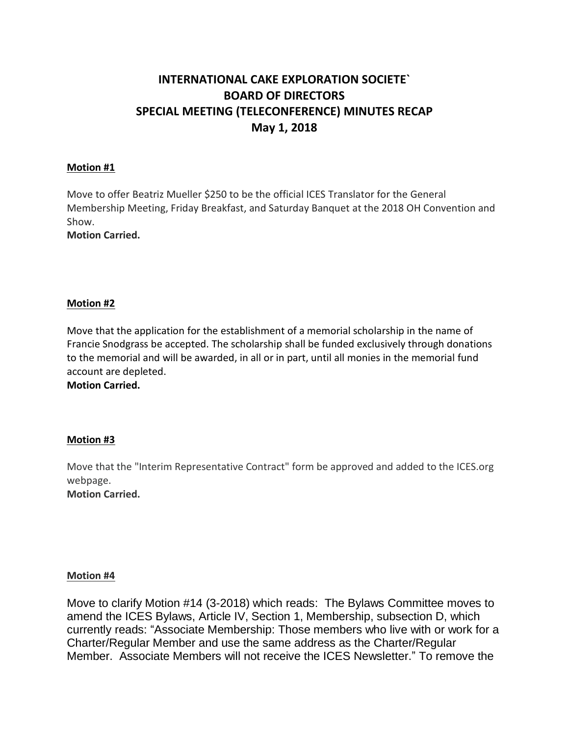# **INTERNATIONAL CAKE EXPLORATION SOCIETE` BOARD OF DIRECTORS SPECIAL MEETING (TELECONFERENCE) MINUTES RECAP May 1, 2018**

### **Motion #1**

Move to offer Beatriz Mueller \$250 to be the official ICES Translator for the General Membership Meeting, Friday Breakfast, and Saturday Banquet at the 2018 OH Convention and Show.

**Motion Carried.**

### **Motion #2**

Move that the application for the establishment of a memorial scholarship in the name of Francie Snodgrass be accepted. The scholarship shall be funded exclusively through donations to the memorial and will be awarded, in all or in part, until all monies in the memorial fund account are depleted.

**Motion Carried.**

## **Motion #3**

Move that the "Interim Representative Contract" form be approved and added to the ICES.org webpage. **Motion Carried.**

**Motion #4**

Move to clarify Motion #14 (3-2018) which reads: The Bylaws Committee moves to amend the ICES Bylaws, Article IV, Section 1, Membership, subsection D, which currently reads: "Associate Membership: Those members who live with or work for a Charter/Regular Member and use the same address as the Charter/Regular Member. Associate Members will not receive the ICES Newsletter." To remove the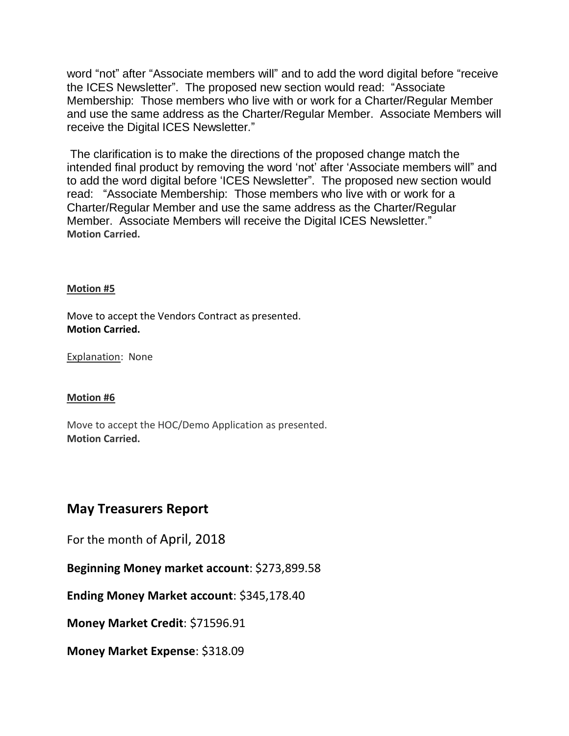word "not" after "Associate members will" and to add the word digital before "receive the ICES Newsletter". The proposed new section would read: "Associate Membership: Those members who live with or work for a Charter/Regular Member and use the same address as the Charter/Regular Member. Associate Members will receive the Digital ICES Newsletter."

The clarification is to make the directions of the proposed change match the intended final product by removing the word 'not' after 'Associate members will" and to add the word digital before 'ICES Newsletter". The proposed new section would read: "Associate Membership: Those members who live with or work for a Charter/Regular Member and use the same address as the Charter/Regular Member. Associate Members will receive the Digital ICES Newsletter." **Motion Carried.**

## **Motion #5**

Move to accept the Vendors Contract as presented. **Motion Carried.**

Explanation: None

# **Motion #6**

Move to accept the HOC/Demo Application as presented. **Motion Carried.**

# **May Treasurers Report**

For the month of April, 2018

**Beginning Money market account**: \$273,899.58

**Ending Money Market account**: \$345,178.40

**Money Market Credit**: \$71596.91

**Money Market Expense**: \$318.09